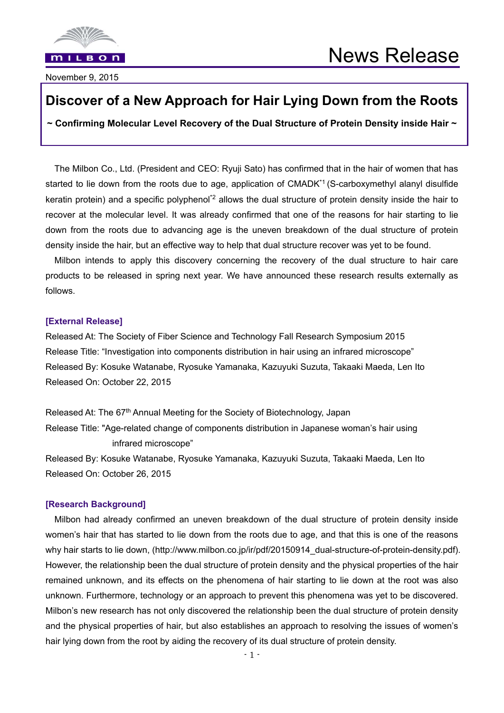

November 9, 2015

# **Discover of a New Approach for Hair Lying Down from the Roots**

**~ Confirming Molecular Level Recovery of the Dual Structure of Protein Density inside Hair ~** 

The Milbon Co., Ltd. (President and CEO: Ryuji Sato) has confirmed that in the hair of women that has started to lie down from the roots due to age, application of CMADK<sup>\*1</sup> (S-carboxymethyl alanyl disulfide keratin protein) and a specific polyphenol<sup>\*2</sup> allows the dual structure of protein density inside the hair to recover at the molecular level. It was already confirmed that one of the reasons for hair starting to lie down from the roots due to advancing age is the uneven breakdown of the dual structure of protein density inside the hair, but an effective way to help that dual structure recover was yet to be found.

Milbon intends to apply this discovery concerning the recovery of the dual structure to hair care products to be released in spring next year. We have announced these research results externally as follows.

#### **[External Release]**

Released At: The Society of Fiber Science and Technology Fall Research Symposium 2015 Release Title: "Investigation into components distribution in hair using an infrared microscope" Released By: Kosuke Watanabe, Ryosuke Yamanaka, Kazuyuki Suzuta, Takaaki Maeda, Len Ito Released On: October 22, 2015

Released At: The 67<sup>th</sup> Annual Meeting for the Society of Biotechnology, Japan Release Title: "Age-related change of components distribution in Japanese woman's hair using infrared microscope"

Released By: Kosuke Watanabe, Ryosuke Yamanaka, Kazuyuki Suzuta, Takaaki Maeda, Len Ito Released On: October 26, 2015

# **[Research Background]**

Milbon had already confirmed an uneven breakdown of the dual structure of protein density inside women's hair that has started to lie down from the roots due to age, and that this is one of the reasons why hair starts to lie down, (http://www.milbon.co.jp/ir/pdf/20150914\_dual-structure-of-protein-density.pdf). However, the relationship been the dual structure of protein density and the physical properties of the hair remained unknown, and its effects on the phenomena of hair starting to lie down at the root was also unknown. Furthermore, technology or an approach to prevent this phenomena was yet to be discovered. Milbon's new research has not only discovered the relationship been the dual structure of protein density and the physical properties of hair, but also establishes an approach to resolving the issues of women's hair lying down from the root by aiding the recovery of its dual structure of protein density.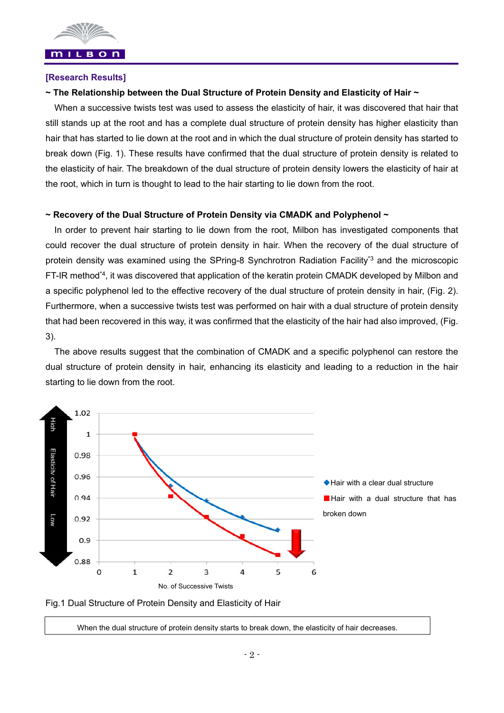

#### **[Research Results]**

#### **~ The Relationship between the Dual Structure of Protein Density and Elasticity of Hair ~**

When a successive twists test was used to assess the elasticity of hair, it was discovered that hair that still stands up at the root and has a complete dual structure of protein density has higher elasticity than hair that has started to lie down at the root and in which the dual structure of protein density has started to break down (Fig. 1). These results have confirmed that the dual structure of protein density is related to the elasticity of hair. The breakdown of the dual structure of protein density lowers the elasticity of hair at the root, which in turn is thought to lead to the hair starting to lie down from the root.

#### **~ Recovery of the Dual Structure of Protein Density via CMADK and Polyphenol ~**

In order to prevent hair starting to lie down from the root, Milbon has investigated components that could recover the dual structure of protein density in hair. When the recovery of the dual structure of protein density was examined using the SPring-8 Synchrotron Radiation Facility\*<sup>3</sup> and the microscopic FT-IR method\*4, it was discovered that application of the keratin protein CMADK developed by Milbon and a specific polyphenol led to the effective recovery of the dual structure of protein density in hair, (Fig. 2). Furthermore, when a successive twists test was performed on hair with a dual structure of protein density that had been recovered in this way, it was confirmed that the elasticity of the hair had also improved, (Fig. 3).

The above results suggest that the combination of CMADK and a specific polyphenol can restore the dual structure of protein density in hair, enhancing its elasticity and leading to a reduction in the hair starting to lie down from the root.



Fig.1 Dual Structure of Protein Density and Elasticity of Hair

When the dual structure of protein density starts to break down, the elasticity of hair decreases.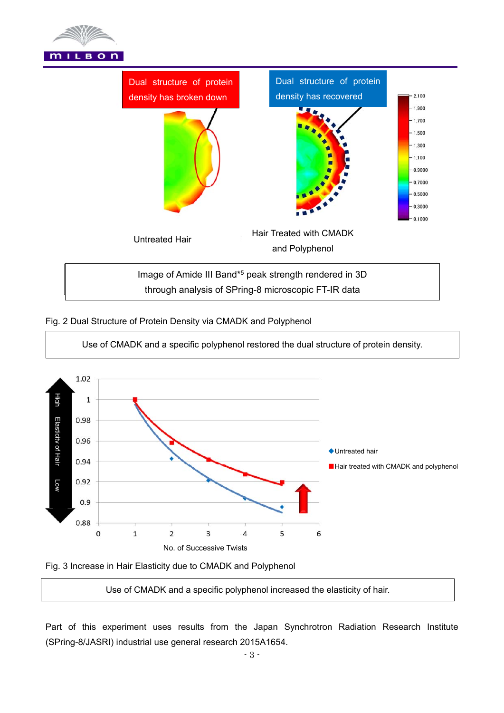



# Fig. 2 Dual Structure of Protein Density via CMADK and Polyphenol



Fig. 3 Increase in Hair Elasticity due to CMADK and Polyphenol

Use of CMADK and a specific polyphenol increased the elasticity of hair.

Part of this experiment uses results from the Japan Synchrotron Radiation Research Institute (SPring-8/JASRI) industrial use general research 2015A1654.